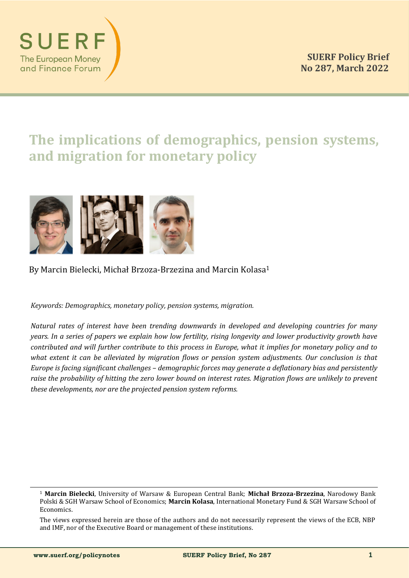

# **The implications of demographics, pension systems, and migration for monetary policy**



By Marcin Bielecki, Michał Brzoza-Brzezina and Marcin Kolasa<sup>1</sup>

*Keywords: Demographics, monetary policy, pension systems, migration.*

*Natural rates of interest have been trending downwards in developed and developing countries for many years. In a series of papers we explain how low fertility, rising longevity and lower productivity growth have contributed and will further contribute to this process in Europe, what it implies for monetary policy and to what extent it can be alleviated by migration flows or pension system adjustments. Our conclusion is that Europe is facing significant challenges – demographic forces may generate a deflationary bias and persistently raise the probability of hitting the zero lower bound on interest rates. Migration flows are unlikely to prevent these developments, nor are the projected pension system reforms.*

The views expressed herein are those of the authors and do not necessarily represent the views of the ECB, NBP and IMF, nor of the Executive Board or management of these institutions.

<sup>1</sup> **Marcin Bielecki**, University of Warsaw & European Central Bank; **Michał Brzoza-Brzezina**, Narodowy Bank Polski & SGH Warsaw School of Economics; **Marcin Kolasa**, International Monetary Fund & SGH Warsaw School of Economics.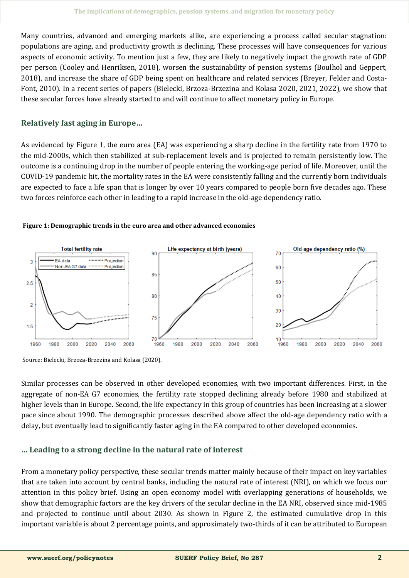Many countries, advanced and emerging markets alike, are experiencing a process called secular stagnation: populations are aging, and productivity growth is declining. These processes will have consequences for various aspects of economic activity. To mention just a few, they are likely to negatively impact the growth rate of GDP per person (Cooley and Henriksen, 2018), worsen the sustainability of pension systems (Boulhol and Geppert, 2018), and increase the share of GDP being spent on healthcare and related services (Breyer, Felder and Costa-Font, 2010). In a recent series of papers (Bielecki, Brzoza-Brzezina and Kolasa 2020, 2021, 2022), we show that these secular forces have already started to and will continue to affect monetary policy in Europe.

## **Relatively fast aging in Europe…**

As evidenced by Figure 1, the euro area (EA) was experiencing a sharp decline in the fertility rate from 1970 to the mid-2000s, which then stabilized at sub-replacement levels and is projected to remain persistently low. The outcome is a continuing drop in the number of people entering the working-age period of life. Moreover, until the COVID-19 pandemic hit, the mortality rates in the EA were consistently falling and the currently born individuals are expected to face a life span that is longer by over 10 years compared to people born five decades ago. These two forces reinforce each other in leading to a rapid increase in the old-age dependency ratio.





Source: Bielecki, Brzoza-Brzezina and Kolasa (2020).

Similar processes can be observed in other developed economies, with two important differences. First, in the aggregate of non-EA G7 economies, the fertility rate stopped declining already before 1980 and stabilized at higher levels than in Europe. Second, the life expectancy in this group of countries has been increasing at a slower pace since about 1990. The demographic processes described above affect the old-age dependency ratio with a delay, but eventually lead to significantly faster aging in the EA compared to other developed economies.

## **… Leading to a strong decline in the natural rate of interest**

From a monetary policy perspective, these secular trends matter mainly because of their impact on key variables that are taken into account by central banks, including the natural rate of interest (NRI), on which we focus our attention in this policy brief. Using an open economy model with overlapping generations of households, we show that demographic factors are the key drivers of the secular decline in the EA NRI, observed since mid-1985 and projected to continue until about 2030. As shown in Figure 2, the estimated cumulative drop in this important variable is about 2 percentage points, and approximately two-thirds of it can be attributed to European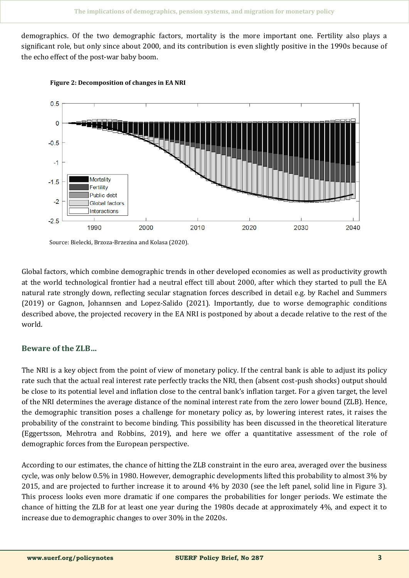demographics. Of the two demographic factors, mortality is the more important one. Fertility also plays a significant role, but only since about 2000, and its contribution is even slightly positive in the 1990s because of the echo effect of the post-war baby boom.





Source: Bielecki, Brzoza-Brzezina and Kolasa (2020).

Global factors, which combine demographic trends in other developed economies as well as productivity growth at the world technological frontier had a neutral effect till about 2000, after which they started to pull the EA natural rate strongly down, reflecting secular stagnation forces described in detail e.g. by Rachel and Summers (2019) or Gagnon, Johannsen and Lopez-Salido (2021). Importantly, due to worse demographic conditions described above, the projected recovery in the EA NRI is postponed by about a decade relative to the rest of the world.

## **Beware of the ZLB…**

The NRI is a key object from the point of view of monetary policy. If the central bank is able to adjust its policy rate such that the actual real interest rate perfectly tracks the NRI, then (absent cost-push shocks) output should be close to its potential level and inflation close to the central bank's inflation target. For a given target, the level of the NRI determines the average distance of the nominal interest rate from the zero lower bound (ZLB). Hence, the demographic transition poses a challenge for monetary policy as, by lowering interest rates, it raises the probability of the constraint to become binding. This possibility has been discussed in the theoretical literature (Eggertsson, Mehrotra and Robbins, 2019), and here we offer a quantitative assessment of the role of demographic forces from the European perspective.

According to our estimates, the chance of hitting the ZLB constraint in the euro area, averaged over the business cycle, was only below 0.5% in 1980. However, demographic developments lifted this probability to almost 3% by 2015, and are projected to further increase it to around 4% by 2030 (see the left panel, solid line in Figure 3). This process looks even more dramatic if one compares the probabilities for longer periods. We estimate the chance of hitting the ZLB for at least one year during the 1980s decade at approximately 4%, and expect it to increase due to demographic changes to over 30% in the 2020s.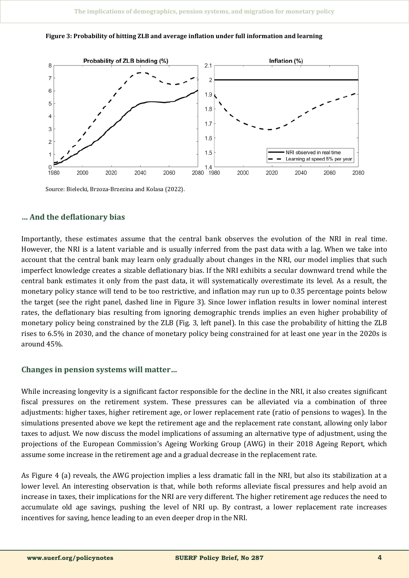



Source: Bielecki, Brzoza-Brzezina and Kolasa (2022).

#### **… And the deflationary bias**

Importantly, these estimates assume that the central bank observes the evolution of the NRI in real time. However, the NRI is a latent variable and is usually inferred from the past data with a lag. When we take into account that the central bank may learn only gradually about changes in the NRI, our model implies that such imperfect knowledge creates a sizable deflationary bias. If the NRI exhibits a secular downward trend while the central bank estimates it only from the past data, it will systematically overestimate its level. As a result, the monetary policy stance will tend to be too restrictive, and inflation may run up to 0.35 percentage points below the target (see the right panel, dashed line in Figure 3). Since lower inflation results in lower nominal interest rates, the deflationary bias resulting from ignoring demographic trends implies an even higher probability of monetary policy being constrained by the ZLB (Fig. 3, left panel). In this case the probability of hitting the ZLB rises to 6.5% in 2030, and the chance of monetary policy being constrained for at least one year in the 2020s is around 45%.

## **Changes in pension systems will matter…**

While increasing longevity is a significant factor responsible for the decline in the NRI, it also creates significant fiscal pressures on the retirement system. These pressures can be alleviated via a combination of three adjustments: higher taxes, higher retirement age, or lower replacement rate (ratio of pensions to wages). In the simulations presented above we kept the retirement age and the replacement rate constant, allowing only labor taxes to adjust. We now discuss the model implications of assuming an alternative type of adjustment, using the projections of the European Commission's Ageing Working Group (AWG) in their 2018 Ageing Report, which assume some increase in the retirement age and a gradual decrease in the replacement rate.

As Figure 4 (a) reveals, the AWG projection implies a less dramatic fall in the NRI, but also its stabilization at a lower level. An interesting observation is that, while both reforms alleviate fiscal pressures and help avoid an increase in taxes, their implications for the NRI are very different. The higher retirement age reduces the need to accumulate old age savings, pushing the level of NRI up. By contrast, a lower replacement rate increases incentives for saving, hence leading to an even deeper drop in the NRI.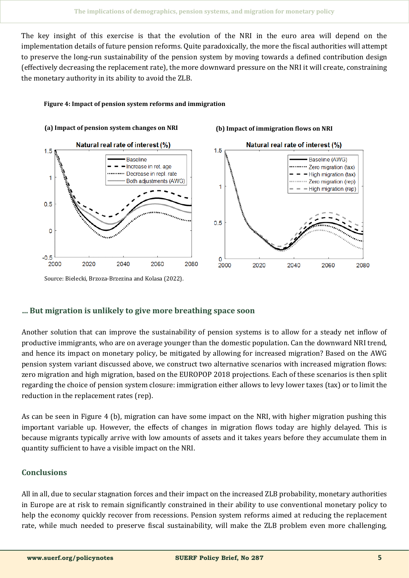The key insight of this exercise is that the evolution of the NRI in the euro area will depend on the implementation details of future pension reforms. Quite paradoxically, the more the fiscal authorities will attempt to preserve the long-run sustainability of the pension system by moving towards a defined contribution design (effectively decreasing the replacement rate), the more downward pressure on the NRI it will create, constraining the monetary authority in its ability to avoid the ZLB.

#### **Figure 4: Impact of pension system reforms and immigration**



Source: Bielecki, Brzoza-Brzezina and Kolasa (2022).

## **… But migration is unlikely to give more breathing space soon**

Another solution that can improve the sustainability of pension systems is to allow for a steady net inflow of productive immigrants, who are on average younger than the domestic population. Can the downward NRI trend, and hence its impact on monetary policy, be mitigated by allowing for increased migration? Based on the AWG pension system variant discussed above, we construct two alternative scenarios with increased migration flows: zero migration and high migration, based on the EUROPOP 2018 projections. Each of these scenarios is then split regarding the choice of pension system closure: immigration either allows to levy lower taxes (tax) or to limit the reduction in the replacement rates (rep).

As can be seen in Figure 4 (b), migration can have some impact on the NRI, with higher migration pushing this important variable up. However, the effects of changes in migration flows today are highly delayed. This is because migrants typically arrive with low amounts of assets and it takes years before they accumulate them in quantity sufficient to have a visible impact on the NRI.

## **Conclusions**

All in all, due to secular stagnation forces and their impact on the increased ZLB probability, monetary authorities in Europe are at risk to remain significantly constrained in their ability to use conventional monetary policy to help the economy quickly recover from recessions. Pension system reforms aimed at reducing the replacement rate, while much needed to preserve fiscal sustainability, will make the ZLB problem even more challenging,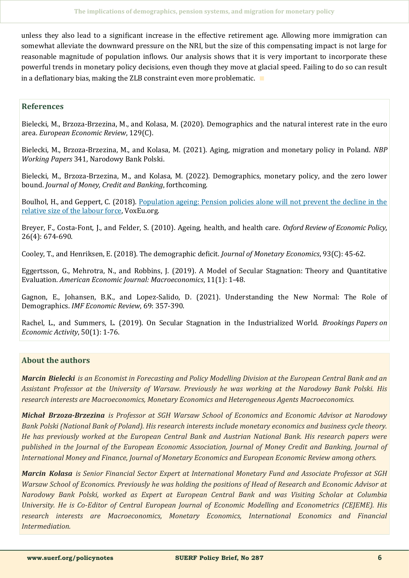unless they also lead to a significant increase in the effective retirement age. Allowing more immigration can somewhat alleviate the downward pressure on the NRI, but the size of this compensating impact is not large for reasonable magnitude of population inflows. Our analysis shows that it is very important to incorporate these powerful trends in monetary policy decisions, even though they move at glacial speed. Failing to do so can result in a deflationary bias, making the ZLB constraint even more problematic. ∎

#### **References**

Bielecki, M., Brzoza-Brzezina, M., and Kolasa, M. (2020). Demographics and the natural interest rate in the euro area. *European Economic Review*, 129(C).

Bielecki, M., Brzoza-Brzezina, M., and Kolasa, M. (2021). Aging, migration and monetary policy in Poland. *NBP Working Papers* 341, Narodowy Bank Polski.

Bielecki, M., Brzoza-Brzezina, M., and Kolasa, M. (2022). Demographics, monetary policy, and the zero lower bound. *Journal of Money, Credit and Banking*, forthcoming.

Boulhol, H., and Geppert, C. (2018). [Population ageing: Pension policies alone will not prevent the decline in the](https://voxeu.org/article/effect-population-ageing-pensions)  [relative size of the labour force,](https://voxeu.org/article/effect-population-ageing-pensions) VoxEu.org.

Breyer, F., Costa-Font, J., and Felder, S. (2010). Ageing, health, and health care. *Oxford Review of Economic Policy*, 26(4): 674-690.

Cooley, T., and Henriksen, E. (2018). The demographic deficit. *Journal of Monetary Economics*, 93(C): 45-62.

Eggertsson, G., Mehrotra, N., and Robbins, J. (2019). A Model of Secular Stagnation: Theory and Quantitative Evaluation. *American Economic Journal: Macroeconomics*, 11(1): 1-48.

Gagnon, E., Johansen, B.K., and Lopez-Salido, D. (2021). Understanding the New Normal: The Role of Demographics. *IMF Economic Review*, 69: 357-390.

Rachel, L., and Summers, L. (2019). On Secular Stagnation in the Industrialized World. *Brookings Papers on Economic Activity*, 50(1): 1-76.

## **About the authors**

*Marcin Bielecki is an Economist in Forecasting and Policy Modelling Division at the European Central Bank and an Assistant Professor at the University of Warsaw. Previously he was working at the Narodowy Bank Polski. His research interests are Macroeconomics, Monetary Economics and Heterogeneous Agents Macroeconomics.*

*Michał Brzoza-Brzezina is Professor at SGH Warsaw School of Economics and Economic Advisor at Narodowy Bank Polski (National Bank of Poland). His research interests include monetary economics and business cycle theory. He has previously worked at the European Central Bank and Austrian National Bank. His research papers were published in the Journal of the European Economic Association, Journal of Money Credit and Banking, Journal of International Money and Finance, Journal of Monetary Economics and European Economic Review among others.*

*Marcin Kolasa is Senior Financial Sector Expert at International Monetary Fund and Associate Professor at SGH Warsaw School of Economics. Previously he was holding the positions of Head of Research and Economic Advisor at Narodowy Bank Polski, worked as Expert at European Central Bank and was Visiting Scholar at Columbia University. He is Co-Editor of Central European Journal of Economic Modelling and Econometrics (CEJEME). His research interests are Macroeconomics, Monetary Economics, International Economics and Financial Intermediation.*